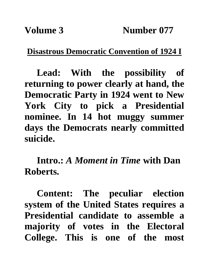**Disastrous Democratic Convention of 1924 I**

**Lead: With the possibility of returning to power clearly at hand, the Democratic Party in 1924 went to New York City to pick a Presidential nominee. In 14 hot muggy summer days the Democrats nearly committed suicide.**

**Intro.:** *A Moment in Time* **with Dan Roberts.**

**Content: The peculiar election system of the United States requires a Presidential candidate to assemble a majority of votes in the Electoral College. This is one of the most**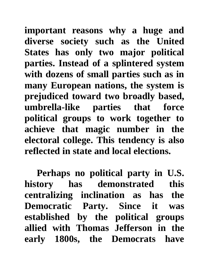**important reasons why a huge and diverse society such as the United States has only two major political parties. Instead of a splintered system with dozens of small parties such as in many European nations, the system is prejudiced toward two broadly based, umbrella-like parties that force political groups to work together to achieve that magic number in the electoral college. This tendency is also reflected in state and local elections.** 

**Perhaps no political party in U.S. history has demonstrated this centralizing inclination as has the Democratic Party. Since it was established by the political groups allied with Thomas Jefferson in the early 1800s, the Democrats have**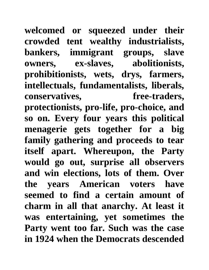**welcomed or squeezed under their crowded tent wealthy industrialists, bankers, immigrant groups, slave owners, ex-slaves, abolitionists, prohibitionists, wets, drys, farmers, intellectuals, fundamentalists, liberals, conservatives, free-traders, protectionists, pro-life, pro-choice, and so on. Every four years this political menagerie gets together for a big family gathering and proceeds to tear itself apart. Whereupon, the Party would go out, surprise all observers and win elections, lots of them. Over the years American voters have seemed to find a certain amount of charm in all that anarchy. At least it was entertaining, yet sometimes the Party went too far. Such was the case in 1924 when the Democrats descended**